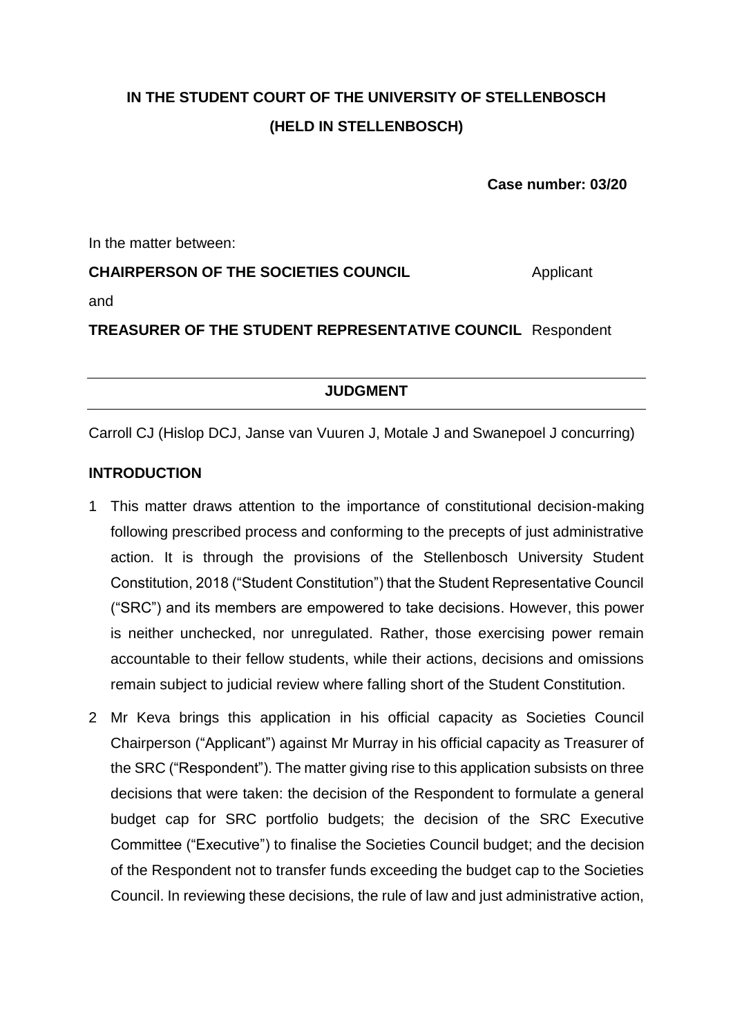# **IN THE STUDENT COURT OF THE UNIVERSITY OF STELLENBOSCH (HELD IN STELLENBOSCH)**

**Case number: 03/20**

In the matter between:

**CHAIRPERSON OF THE SOCIETIES COUNCIL** Applicant and **TREASURER OF THE STUDENT REPRESENTATIVE COUNCIL** Respondent

**JUDGMENT**

Carroll CJ (Hislop DCJ, Janse van Vuuren J, Motale J and Swanepoel J concurring)

# **INTRODUCTION**

- 1 This matter draws attention to the importance of constitutional decision-making following prescribed process and conforming to the precepts of just administrative action. It is through the provisions of the Stellenbosch University Student Constitution, 2018 ("Student Constitution") that the Student Representative Council ("SRC") and its members are empowered to take decisions. However, this power is neither unchecked, nor unregulated. Rather, those exercising power remain accountable to their fellow students, while their actions, decisions and omissions remain subject to judicial review where falling short of the Student Constitution.
- 2 Mr Keva brings this application in his official capacity as Societies Council Chairperson ("Applicant") against Mr Murray in his official capacity as Treasurer of the SRC ("Respondent"). The matter giving rise to this application subsists on three decisions that were taken: the decision of the Respondent to formulate a general budget cap for SRC portfolio budgets; the decision of the SRC Executive Committee ("Executive") to finalise the Societies Council budget; and the decision of the Respondent not to transfer funds exceeding the budget cap to the Societies Council. In reviewing these decisions, the rule of law and just administrative action,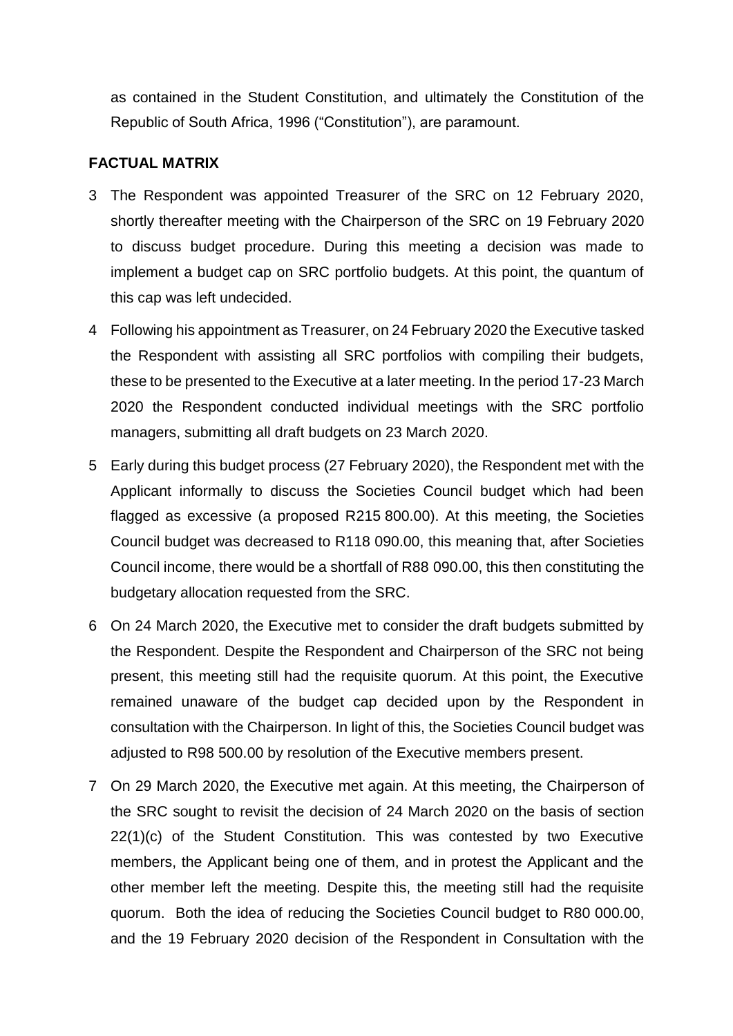as contained in the Student Constitution, and ultimately the Constitution of the Republic of South Africa, 1996 ("Constitution"), are paramount.

# **FACTUAL MATRIX**

- 3 The Respondent was appointed Treasurer of the SRC on 12 February 2020, shortly thereafter meeting with the Chairperson of the SRC on 19 February 2020 to discuss budget procedure. During this meeting a decision was made to implement a budget cap on SRC portfolio budgets. At this point, the quantum of this cap was left undecided.
- 4 Following his appointment as Treasurer, on 24 February 2020 the Executive tasked the Respondent with assisting all SRC portfolios with compiling their budgets, these to be presented to the Executive at a later meeting. In the period 17-23 March 2020 the Respondent conducted individual meetings with the SRC portfolio managers, submitting all draft budgets on 23 March 2020.
- 5 Early during this budget process (27 February 2020), the Respondent met with the Applicant informally to discuss the Societies Council budget which had been flagged as excessive (a proposed R215 800.00). At this meeting, the Societies Council budget was decreased to R118 090.00, this meaning that, after Societies Council income, there would be a shortfall of R88 090.00, this then constituting the budgetary allocation requested from the SRC.
- 6 On 24 March 2020, the Executive met to consider the draft budgets submitted by the Respondent. Despite the Respondent and Chairperson of the SRC not being present, this meeting still had the requisite quorum. At this point, the Executive remained unaware of the budget cap decided upon by the Respondent in consultation with the Chairperson. In light of this, the Societies Council budget was adjusted to R98 500.00 by resolution of the Executive members present.
- 7 On 29 March 2020, the Executive met again. At this meeting, the Chairperson of the SRC sought to revisit the decision of 24 March 2020 on the basis of section 22(1)(c) of the Student Constitution. This was contested by two Executive members, the Applicant being one of them, and in protest the Applicant and the other member left the meeting. Despite this, the meeting still had the requisite quorum. Both the idea of reducing the Societies Council budget to R80 000.00, and the 19 February 2020 decision of the Respondent in Consultation with the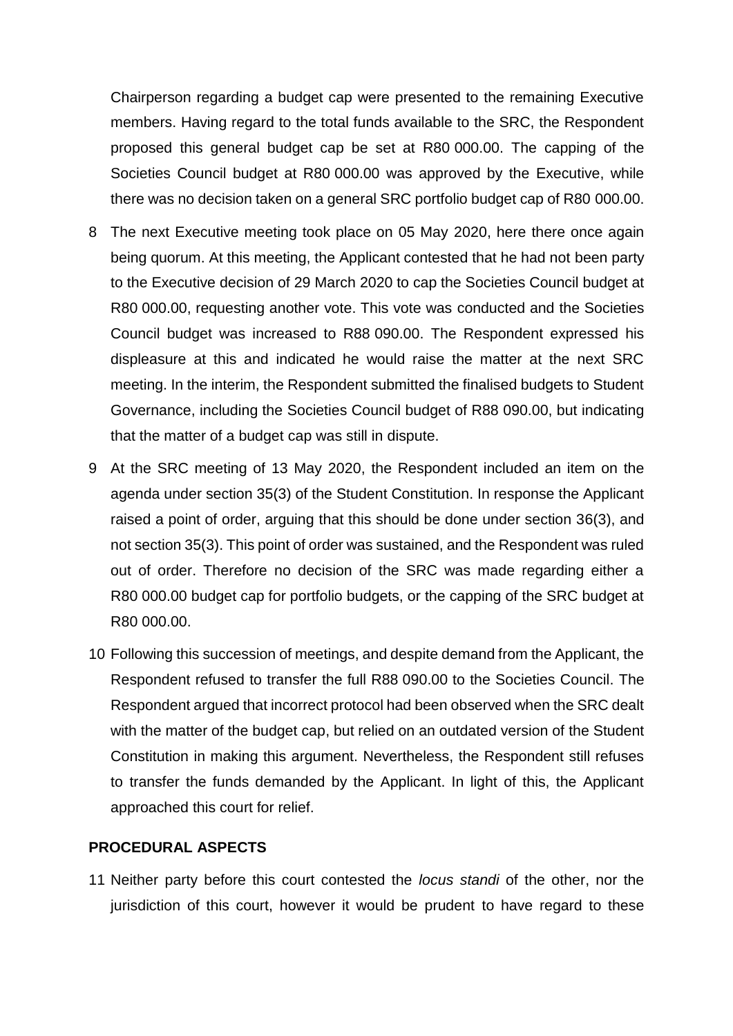Chairperson regarding a budget cap were presented to the remaining Executive members. Having regard to the total funds available to the SRC, the Respondent proposed this general budget cap be set at R80 000.00. The capping of the Societies Council budget at R80 000.00 was approved by the Executive, while there was no decision taken on a general SRC portfolio budget cap of R80 000.00.

- 8 The next Executive meeting took place on 05 May 2020, here there once again being quorum. At this meeting, the Applicant contested that he had not been party to the Executive decision of 29 March 2020 to cap the Societies Council budget at R80 000.00, requesting another vote. This vote was conducted and the Societies Council budget was increased to R88 090.00. The Respondent expressed his displeasure at this and indicated he would raise the matter at the next SRC meeting. In the interim, the Respondent submitted the finalised budgets to Student Governance, including the Societies Council budget of R88 090.00, but indicating that the matter of a budget cap was still in dispute.
- 9 At the SRC meeting of 13 May 2020, the Respondent included an item on the agenda under section 35(3) of the Student Constitution. In response the Applicant raised a point of order, arguing that this should be done under section 36(3), and not section 35(3). This point of order was sustained, and the Respondent was ruled out of order. Therefore no decision of the SRC was made regarding either a R80 000.00 budget cap for portfolio budgets, or the capping of the SRC budget at R80 000.00.
- 10 Following this succession of meetings, and despite demand from the Applicant, the Respondent refused to transfer the full R88 090.00 to the Societies Council. The Respondent argued that incorrect protocol had been observed when the SRC dealt with the matter of the budget cap, but relied on an outdated version of the Student Constitution in making this argument. Nevertheless, the Respondent still refuses to transfer the funds demanded by the Applicant. In light of this, the Applicant approached this court for relief.

## **PROCEDURAL ASPECTS**

11 Neither party before this court contested the *locus standi* of the other, nor the jurisdiction of this court, however it would be prudent to have regard to these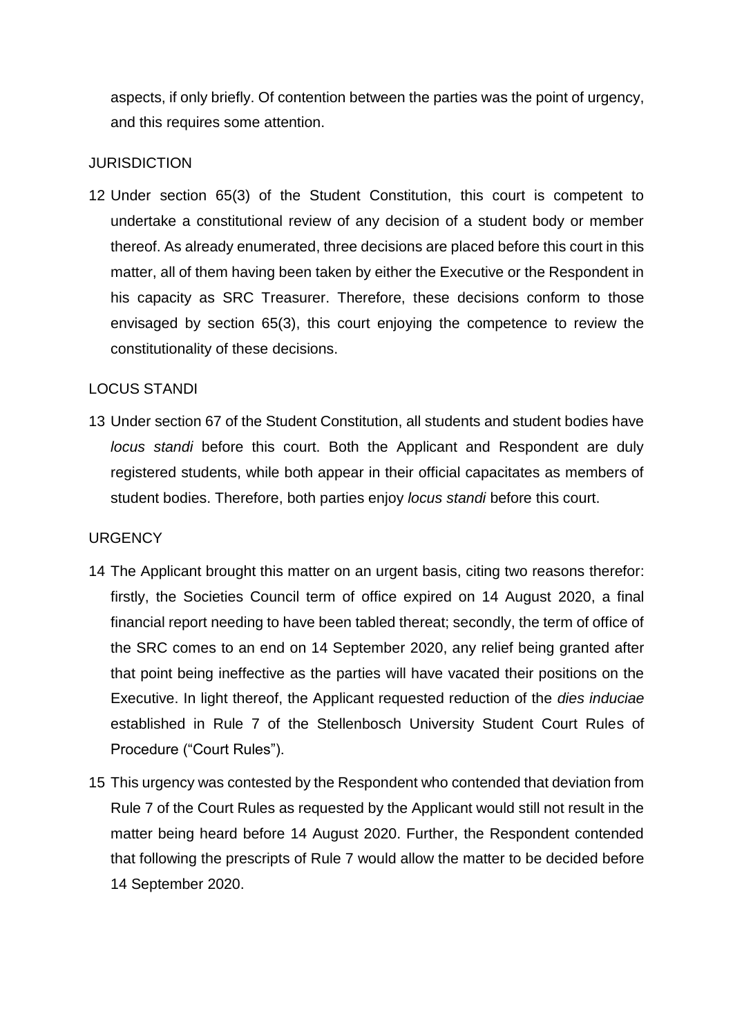aspects, if only briefly. Of contention between the parties was the point of urgency, and this requires some attention.

# **JURISDICTION**

12 Under section 65(3) of the Student Constitution, this court is competent to undertake a constitutional review of any decision of a student body or member thereof. As already enumerated, three decisions are placed before this court in this matter, all of them having been taken by either the Executive or the Respondent in his capacity as SRC Treasurer. Therefore, these decisions conform to those envisaged by section 65(3), this court enjoying the competence to review the constitutionality of these decisions.

# LOCUS STANDI

13 Under section 67 of the Student Constitution, all students and student bodies have *locus standi* before this court. Both the Applicant and Respondent are duly registered students, while both appear in their official capacitates as members of student bodies. Therefore, both parties enjoy *locus standi* before this court.

## **URGENCY**

- 14 The Applicant brought this matter on an urgent basis, citing two reasons therefor: firstly, the Societies Council term of office expired on 14 August 2020, a final financial report needing to have been tabled thereat; secondly, the term of office of the SRC comes to an end on 14 September 2020, any relief being granted after that point being ineffective as the parties will have vacated their positions on the Executive. In light thereof, the Applicant requested reduction of the *dies induciae* established in Rule 7 of the Stellenbosch University Student Court Rules of Procedure ("Court Rules").
- 15 This urgency was contested by the Respondent who contended that deviation from Rule 7 of the Court Rules as requested by the Applicant would still not result in the matter being heard before 14 August 2020. Further, the Respondent contended that following the prescripts of Rule 7 would allow the matter to be decided before 14 September 2020.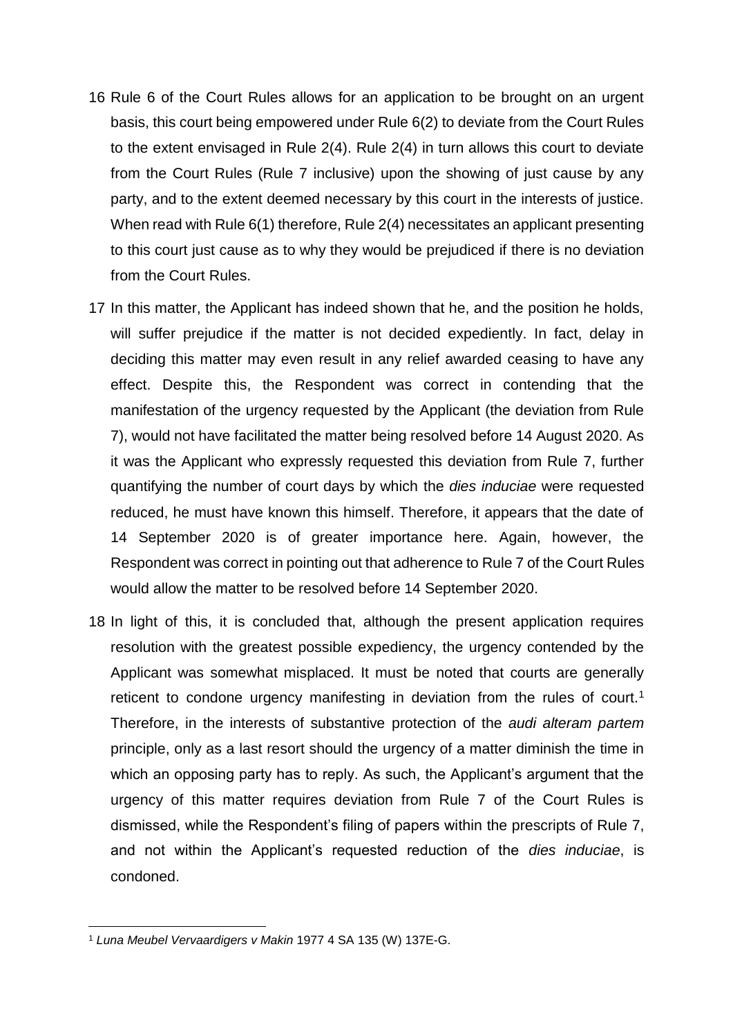- 16 Rule 6 of the Court Rules allows for an application to be brought on an urgent basis, this court being empowered under Rule 6(2) to deviate from the Court Rules to the extent envisaged in Rule 2(4). Rule 2(4) in turn allows this court to deviate from the Court Rules (Rule 7 inclusive) upon the showing of just cause by any party, and to the extent deemed necessary by this court in the interests of justice. When read with Rule 6(1) therefore, Rule 2(4) necessitates an applicant presenting to this court just cause as to why they would be prejudiced if there is no deviation from the Court Rules.
- 17 In this matter, the Applicant has indeed shown that he, and the position he holds, will suffer prejudice if the matter is not decided expediently. In fact, delay in deciding this matter may even result in any relief awarded ceasing to have any effect. Despite this, the Respondent was correct in contending that the manifestation of the urgency requested by the Applicant (the deviation from Rule 7), would not have facilitated the matter being resolved before 14 August 2020. As it was the Applicant who expressly requested this deviation from Rule 7, further quantifying the number of court days by which the *dies induciae* were requested reduced, he must have known this himself. Therefore, it appears that the date of 14 September 2020 is of greater importance here. Again, however, the Respondent was correct in pointing out that adherence to Rule 7 of the Court Rules would allow the matter to be resolved before 14 September 2020.
- 18 In light of this, it is concluded that, although the present application requires resolution with the greatest possible expediency, the urgency contended by the Applicant was somewhat misplaced. It must be noted that courts are generally reticent to condone urgency manifesting in deviation from the rules of court.<sup>1</sup> Therefore, in the interests of substantive protection of the *audi alteram partem* principle, only as a last resort should the urgency of a matter diminish the time in which an opposing party has to reply. As such, the Applicant's argument that the urgency of this matter requires deviation from Rule 7 of the Court Rules is dismissed, while the Respondent's filing of papers within the prescripts of Rule 7, and not within the Applicant's requested reduction of the *dies induciae*, is condoned.

**.** 

<sup>1</sup> *Luna Meubel Vervaardigers v Makin* 1977 4 SA 135 (W) 137E-G.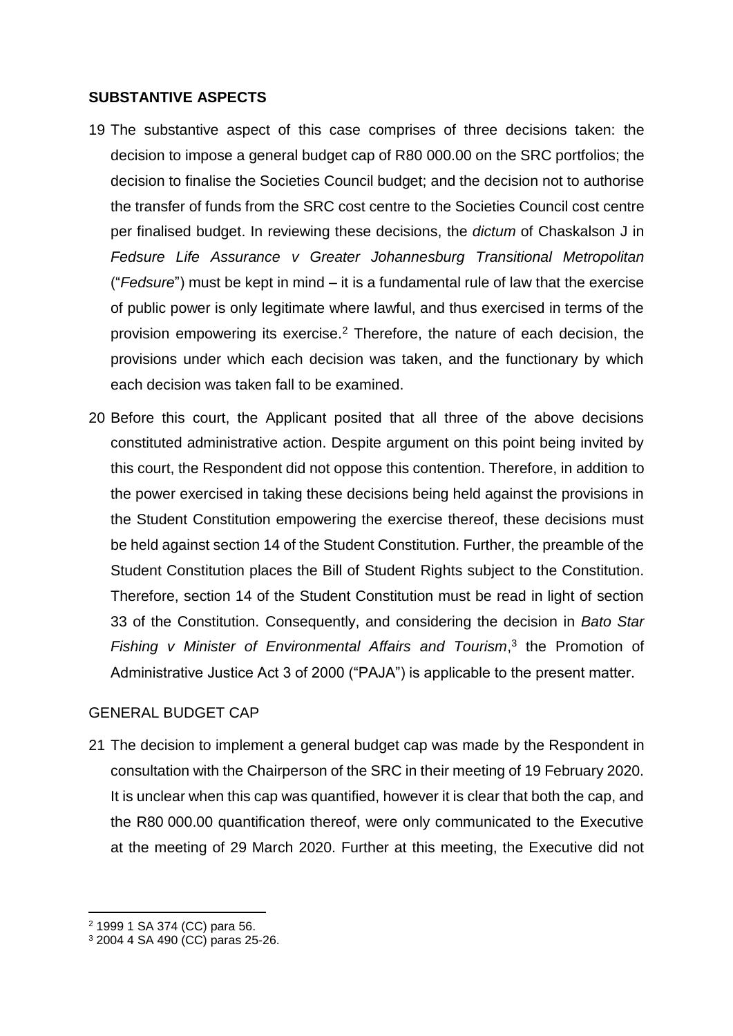#### **SUBSTANTIVE ASPECTS**

- 19 The substantive aspect of this case comprises of three decisions taken: the decision to impose a general budget cap of R80 000.00 on the SRC portfolios; the decision to finalise the Societies Council budget; and the decision not to authorise the transfer of funds from the SRC cost centre to the Societies Council cost centre per finalised budget. In reviewing these decisions, the *dictum* of Chaskalson J in *Fedsure Life Assurance v Greater Johannesburg Transitional Metropolitan* ("*Fedsure*") must be kept in mind – it is a fundamental rule of law that the exercise of public power is only legitimate where lawful, and thus exercised in terms of the provision empowering its exercise.<sup>2</sup> Therefore, the nature of each decision, the provisions under which each decision was taken, and the functionary by which each decision was taken fall to be examined.
- 20 Before this court, the Applicant posited that all three of the above decisions constituted administrative action. Despite argument on this point being invited by this court, the Respondent did not oppose this contention. Therefore, in addition to the power exercised in taking these decisions being held against the provisions in the Student Constitution empowering the exercise thereof, these decisions must be held against section 14 of the Student Constitution. Further, the preamble of the Student Constitution places the Bill of Student Rights subject to the Constitution. Therefore, section 14 of the Student Constitution must be read in light of section 33 of the Constitution. Consequently, and considering the decision in *Bato Star*  Fishing v Minister of Environmental Affairs and Tourism,<sup>3</sup> the Promotion of Administrative Justice Act 3 of 2000 ("PAJA") is applicable to the present matter.

# GENERAL BUDGET CAP

21 The decision to implement a general budget cap was made by the Respondent in consultation with the Chairperson of the SRC in their meeting of 19 February 2020. It is unclear when this cap was quantified, however it is clear that both the cap, and the R80 000.00 quantification thereof, were only communicated to the Executive at the meeting of 29 March 2020. Further at this meeting, the Executive did not

**.** 

<sup>2</sup> 1999 1 SA 374 (CC) para 56.

<sup>3</sup> 2004 4 SA 490 (CC) paras 25-26.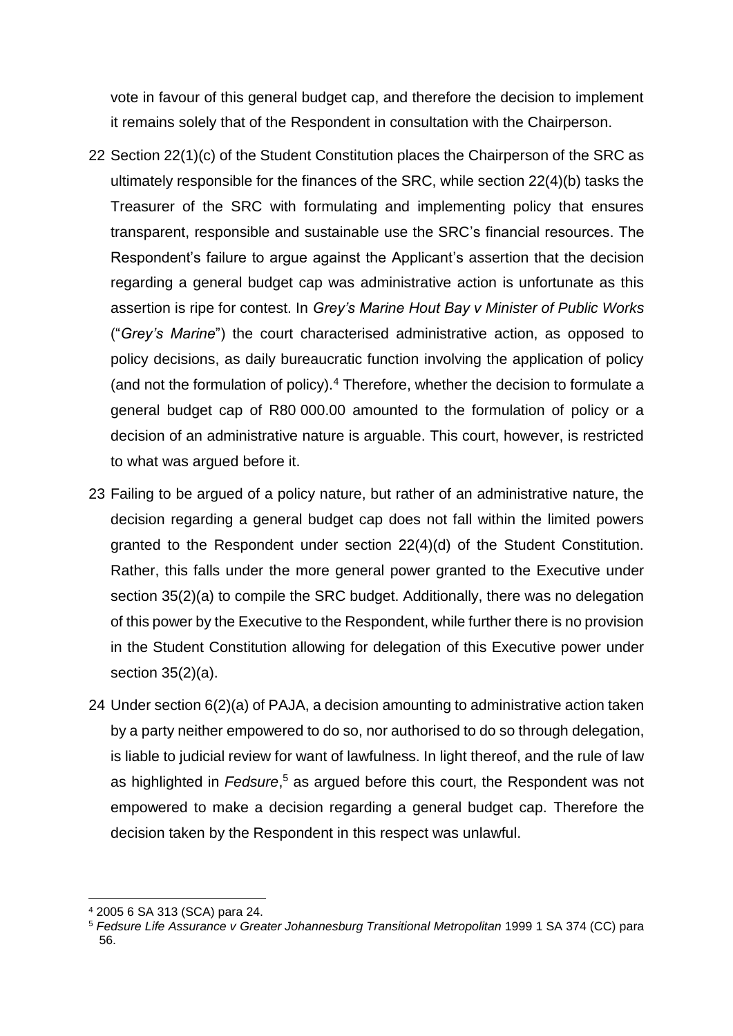vote in favour of this general budget cap, and therefore the decision to implement it remains solely that of the Respondent in consultation with the Chairperson.

- 22 Section 22(1)(c) of the Student Constitution places the Chairperson of the SRC as ultimately responsible for the finances of the SRC, while section 22(4)(b) tasks the Treasurer of the SRC with formulating and implementing policy that ensures transparent, responsible and sustainable use the SRC's financial resources. The Respondent's failure to argue against the Applicant's assertion that the decision regarding a general budget cap was administrative action is unfortunate as this assertion is ripe for contest. In *Grey's Marine Hout Bay v Minister of Public Works* ("*Grey's Marine*") the court characterised administrative action, as opposed to policy decisions, as daily bureaucratic function involving the application of policy (and not the formulation of policy).<sup>4</sup> Therefore, whether the decision to formulate a general budget cap of R80 000.00 amounted to the formulation of policy or a decision of an administrative nature is arguable. This court, however, is restricted to what was argued before it.
- 23 Failing to be argued of a policy nature, but rather of an administrative nature, the decision regarding a general budget cap does not fall within the limited powers granted to the Respondent under section 22(4)(d) of the Student Constitution. Rather, this falls under the more general power granted to the Executive under section 35(2)(a) to compile the SRC budget. Additionally, there was no delegation of this power by the Executive to the Respondent, while further there is no provision in the Student Constitution allowing for delegation of this Executive power under section 35(2)(a).
- 24 Under section 6(2)(a) of PAJA, a decision amounting to administrative action taken by a party neither empowered to do so, nor authorised to do so through delegation, is liable to judicial review for want of lawfulness. In light thereof, and the rule of law as highlighted in Fedsure,<sup>5</sup> as argued before this court, the Respondent was not empowered to make a decision regarding a general budget cap. Therefore the decision taken by the Respondent in this respect was unlawful.

<sup>1</sup> <sup>4</sup> 2005 6 SA 313 (SCA) para 24.

<sup>5</sup> *Fedsure Life Assurance v Greater Johannesburg Transitional Metropolitan* 1999 1 SA 374 (CC) para 56.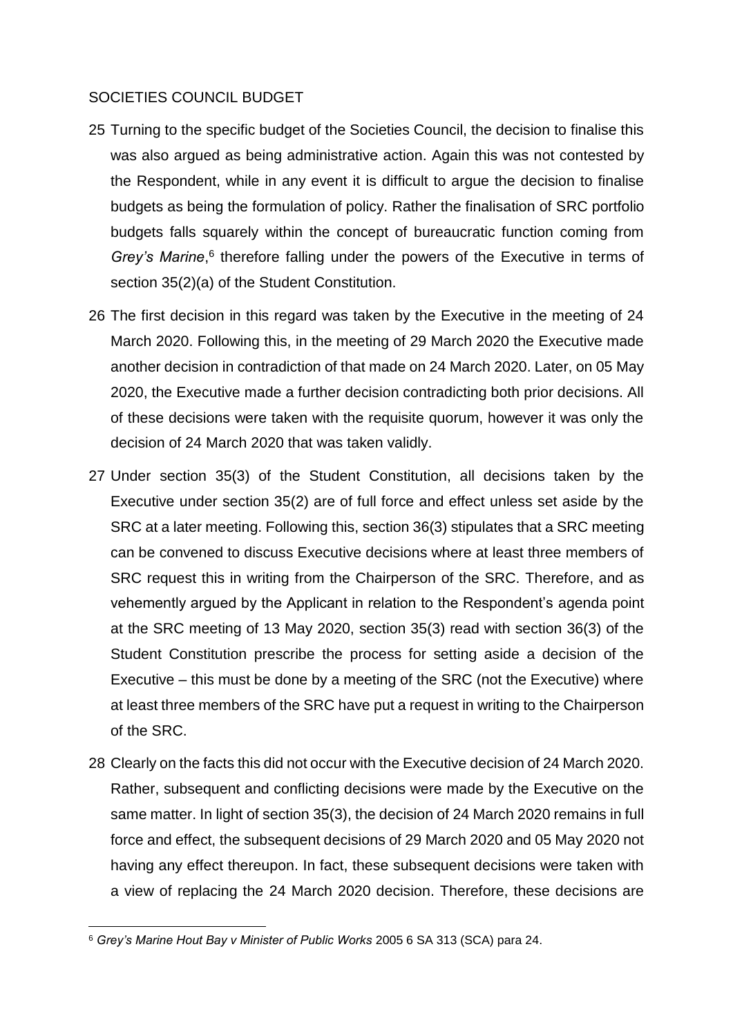## SOCIETIES COUNCIL BUDGET

- 25 Turning to the specific budget of the Societies Council, the decision to finalise this was also argued as being administrative action. Again this was not contested by the Respondent, while in any event it is difficult to argue the decision to finalise budgets as being the formulation of policy. Rather the finalisation of SRC portfolio budgets falls squarely within the concept of bureaucratic function coming from Grey's Marine,<sup>6</sup> therefore falling under the powers of the Executive in terms of section 35(2)(a) of the Student Constitution.
- 26 The first decision in this regard was taken by the Executive in the meeting of 24 March 2020. Following this, in the meeting of 29 March 2020 the Executive made another decision in contradiction of that made on 24 March 2020. Later, on 05 May 2020, the Executive made a further decision contradicting both prior decisions. All of these decisions were taken with the requisite quorum, however it was only the decision of 24 March 2020 that was taken validly.
- 27 Under section 35(3) of the Student Constitution, all decisions taken by the Executive under section 35(2) are of full force and effect unless set aside by the SRC at a later meeting. Following this, section 36(3) stipulates that a SRC meeting can be convened to discuss Executive decisions where at least three members of SRC request this in writing from the Chairperson of the SRC. Therefore, and as vehemently argued by the Applicant in relation to the Respondent's agenda point at the SRC meeting of 13 May 2020, section 35(3) read with section 36(3) of the Student Constitution prescribe the process for setting aside a decision of the Executive – this must be done by a meeting of the SRC (not the Executive) where at least three members of the SRC have put a request in writing to the Chairperson of the SRC.
- 28 Clearly on the facts this did not occur with the Executive decision of 24 March 2020. Rather, subsequent and conflicting decisions were made by the Executive on the same matter. In light of section 35(3), the decision of 24 March 2020 remains in full force and effect, the subsequent decisions of 29 March 2020 and 05 May 2020 not having any effect thereupon. In fact, these subsequent decisions were taken with a view of replacing the 24 March 2020 decision. Therefore, these decisions are

**<sup>.</sup>** <sup>6</sup> *Grey's Marine Hout Bay v Minister of Public Works* 2005 6 SA 313 (SCA) para 24.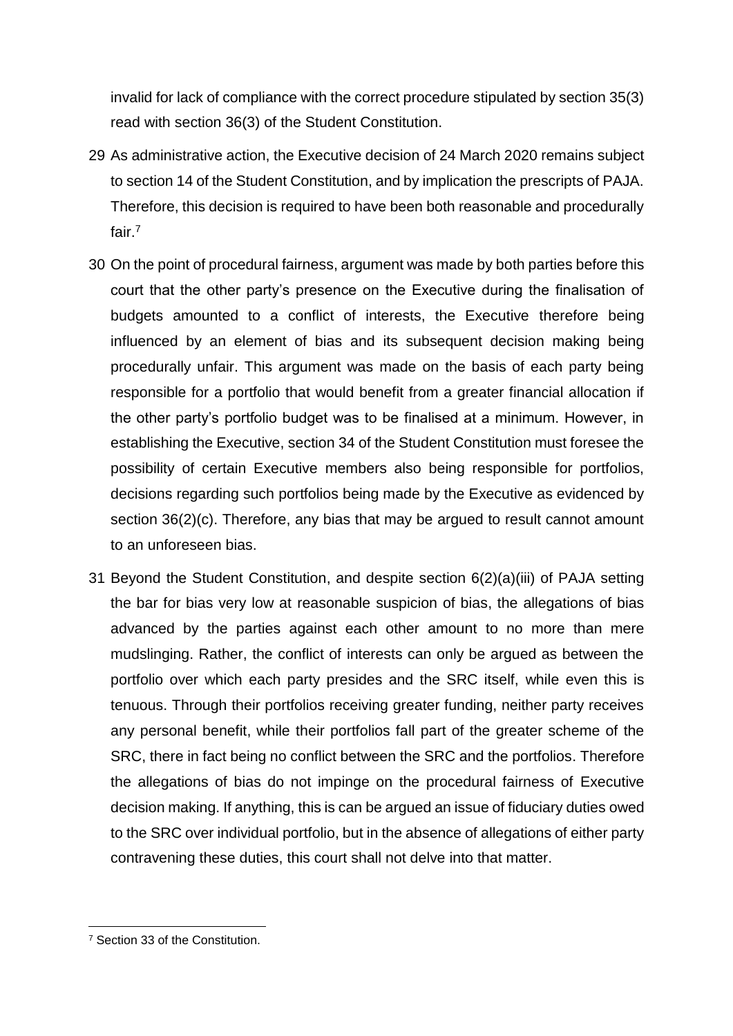invalid for lack of compliance with the correct procedure stipulated by section 35(3) read with section 36(3) of the Student Constitution.

- 29 As administrative action, the Executive decision of 24 March 2020 remains subject to section 14 of the Student Constitution, and by implication the prescripts of PAJA. Therefore, this decision is required to have been both reasonable and procedurally fair.<sup>7</sup>
- 30 On the point of procedural fairness, argument was made by both parties before this court that the other party's presence on the Executive during the finalisation of budgets amounted to a conflict of interests, the Executive therefore being influenced by an element of bias and its subsequent decision making being procedurally unfair. This argument was made on the basis of each party being responsible for a portfolio that would benefit from a greater financial allocation if the other party's portfolio budget was to be finalised at a minimum. However, in establishing the Executive, section 34 of the Student Constitution must foresee the possibility of certain Executive members also being responsible for portfolios, decisions regarding such portfolios being made by the Executive as evidenced by section 36(2)(c). Therefore, any bias that may be argued to result cannot amount to an unforeseen bias.
- 31 Beyond the Student Constitution, and despite section 6(2)(a)(iii) of PAJA setting the bar for bias very low at reasonable suspicion of bias, the allegations of bias advanced by the parties against each other amount to no more than mere mudslinging. Rather, the conflict of interests can only be argued as between the portfolio over which each party presides and the SRC itself, while even this is tenuous. Through their portfolios receiving greater funding, neither party receives any personal benefit, while their portfolios fall part of the greater scheme of the SRC, there in fact being no conflict between the SRC and the portfolios. Therefore the allegations of bias do not impinge on the procedural fairness of Executive decision making. If anything, this is can be argued an issue of fiduciary duties owed to the SRC over individual portfolio, but in the absence of allegations of either party contravening these duties, this court shall not delve into that matter.

**<sup>.</sup>** <sup>7</sup> Section 33 of the Constitution.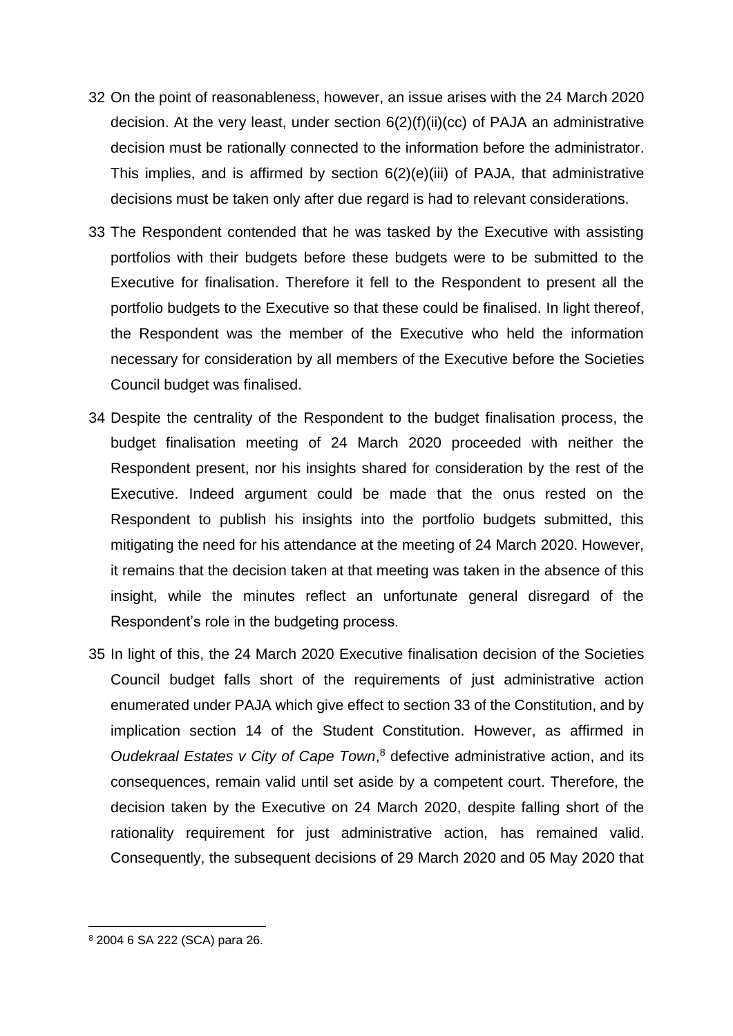- 32 On the point of reasonableness, however, an issue arises with the 24 March 2020 decision. At the very least, under section  $6(2)(f)(ii)(cc)$  of PAJA an administrative decision must be rationally connected to the information before the administrator. This implies, and is affirmed by section  $6(2)(e)(iii)$  of PAJA, that administrative decisions must be taken only after due regard is had to relevant considerations.
- 33 The Respondent contended that he was tasked by the Executive with assisting portfolios with their budgets before these budgets were to be submitted to the Executive for finalisation. Therefore it fell to the Respondent to present all the portfolio budgets to the Executive so that these could be finalised. In light thereof, the Respondent was the member of the Executive who held the information necessary for consideration by all members of the Executive before the Societies Council budget was finalised.
- 34 Despite the centrality of the Respondent to the budget finalisation process, the budget finalisation meeting of 24 March 2020 proceeded with neither the Respondent present, nor his insights shared for consideration by the rest of the Executive. Indeed argument could be made that the onus rested on the Respondent to publish his insights into the portfolio budgets submitted, this mitigating the need for his attendance at the meeting of 24 March 2020. However, it remains that the decision taken at that meeting was taken in the absence of this insight, while the minutes reflect an unfortunate general disregard of the Respondent's role in the budgeting process.
- 35 In light of this, the 24 March 2020 Executive finalisation decision of the Societies Council budget falls short of the requirements of just administrative action enumerated under PAJA which give effect to section 33 of the Constitution, and by implication section 14 of the Student Constitution. However, as affirmed in *Oudekraal Estates v City of Cape Town*, <sup>8</sup> defective administrative action, and its consequences, remain valid until set aside by a competent court. Therefore, the decision taken by the Executive on 24 March 2020, despite falling short of the rationality requirement for just administrative action, has remained valid. Consequently, the subsequent decisions of 29 March 2020 and 05 May 2020 that

**.** 

<sup>8</sup> 2004 6 SA 222 (SCA) para 26.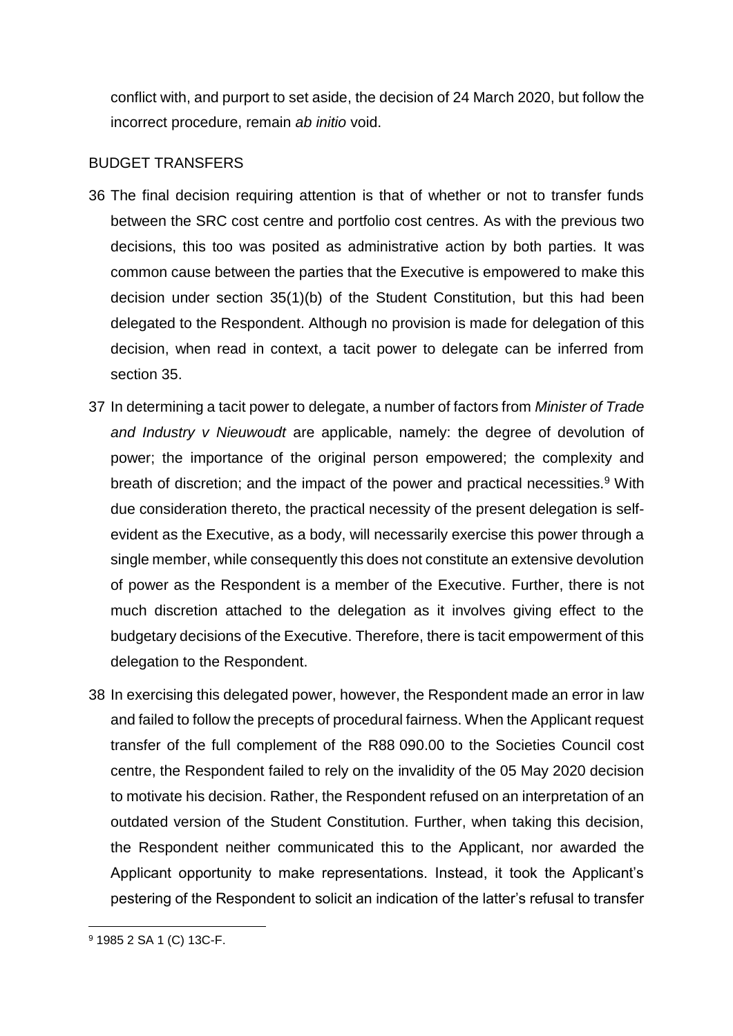conflict with, and purport to set aside, the decision of 24 March 2020, but follow the incorrect procedure, remain *ab initio* void.

## BUDGET TRANSFERS

- 36 The final decision requiring attention is that of whether or not to transfer funds between the SRC cost centre and portfolio cost centres. As with the previous two decisions, this too was posited as administrative action by both parties. It was common cause between the parties that the Executive is empowered to make this decision under section 35(1)(b) of the Student Constitution, but this had been delegated to the Respondent. Although no provision is made for delegation of this decision, when read in context, a tacit power to delegate can be inferred from section 35.
- 37 In determining a tacit power to delegate, a number of factors from *Minister of Trade and Industry v Nieuwoudt* are applicable, namely: the degree of devolution of power; the importance of the original person empowered; the complexity and breath of discretion; and the impact of the power and practical necessities.<sup>9</sup> With due consideration thereto, the practical necessity of the present delegation is selfevident as the Executive, as a body, will necessarily exercise this power through a single member, while consequently this does not constitute an extensive devolution of power as the Respondent is a member of the Executive. Further, there is not much discretion attached to the delegation as it involves giving effect to the budgetary decisions of the Executive. Therefore, there is tacit empowerment of this delegation to the Respondent.
- 38 In exercising this delegated power, however, the Respondent made an error in law and failed to follow the precepts of procedural fairness. When the Applicant request transfer of the full complement of the R88 090.00 to the Societies Council cost centre, the Respondent failed to rely on the invalidity of the 05 May 2020 decision to motivate his decision. Rather, the Respondent refused on an interpretation of an outdated version of the Student Constitution. Further, when taking this decision, the Respondent neither communicated this to the Applicant, nor awarded the Applicant opportunity to make representations. Instead, it took the Applicant's pestering of the Respondent to solicit an indication of the latter's refusal to transfer

**<sup>.</sup>** <sup>9</sup> 1985 2 SA 1 (C) 13C-F.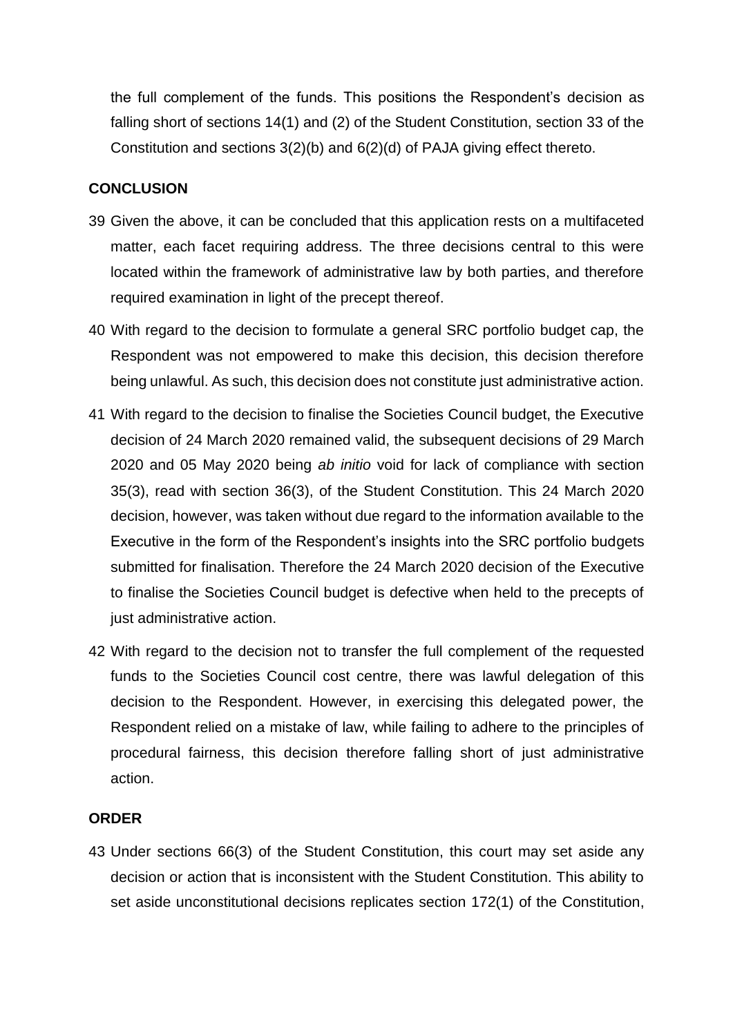the full complement of the funds. This positions the Respondent's decision as falling short of sections 14(1) and (2) of the Student Constitution, section 33 of the Constitution and sections 3(2)(b) and 6(2)(d) of PAJA giving effect thereto.

# **CONCLUSION**

- 39 Given the above, it can be concluded that this application rests on a multifaceted matter, each facet requiring address. The three decisions central to this were located within the framework of administrative law by both parties, and therefore required examination in light of the precept thereof.
- 40 With regard to the decision to formulate a general SRC portfolio budget cap, the Respondent was not empowered to make this decision, this decision therefore being unlawful. As such, this decision does not constitute just administrative action.
- 41 With regard to the decision to finalise the Societies Council budget, the Executive decision of 24 March 2020 remained valid, the subsequent decisions of 29 March 2020 and 05 May 2020 being *ab initio* void for lack of compliance with section 35(3), read with section 36(3), of the Student Constitution. This 24 March 2020 decision, however, was taken without due regard to the information available to the Executive in the form of the Respondent's insights into the SRC portfolio budgets submitted for finalisation. Therefore the 24 March 2020 decision of the Executive to finalise the Societies Council budget is defective when held to the precepts of just administrative action.
- 42 With regard to the decision not to transfer the full complement of the requested funds to the Societies Council cost centre, there was lawful delegation of this decision to the Respondent. However, in exercising this delegated power, the Respondent relied on a mistake of law, while failing to adhere to the principles of procedural fairness, this decision therefore falling short of just administrative action.

## **ORDER**

43 Under sections 66(3) of the Student Constitution, this court may set aside any decision or action that is inconsistent with the Student Constitution. This ability to set aside unconstitutional decisions replicates section 172(1) of the Constitution,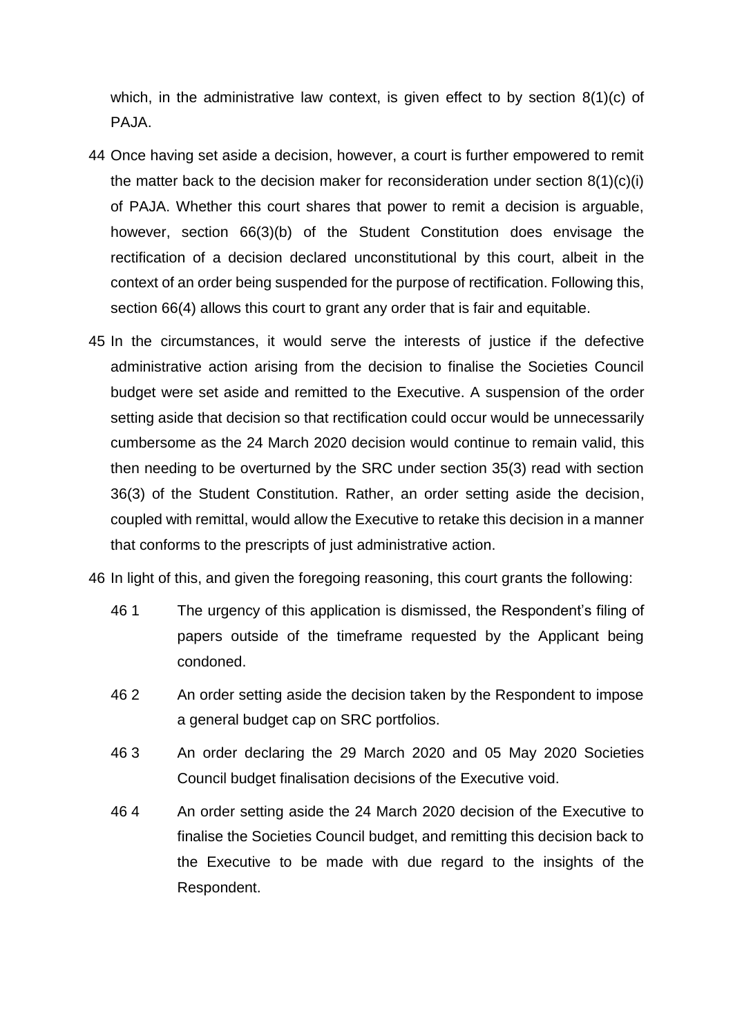which, in the administrative law context, is given effect to by section 8(1)(c) of PAJA.

- 44 Once having set aside a decision, however, a court is further empowered to remit the matter back to the decision maker for reconsideration under section  $8(1)(c)(i)$ of PAJA. Whether this court shares that power to remit a decision is arguable, however, section 66(3)(b) of the Student Constitution does envisage the rectification of a decision declared unconstitutional by this court, albeit in the context of an order being suspended for the purpose of rectification. Following this, section 66(4) allows this court to grant any order that is fair and equitable.
- 45 In the circumstances, it would serve the interests of justice if the defective administrative action arising from the decision to finalise the Societies Council budget were set aside and remitted to the Executive. A suspension of the order setting aside that decision so that rectification could occur would be unnecessarily cumbersome as the 24 March 2020 decision would continue to remain valid, this then needing to be overturned by the SRC under section 35(3) read with section 36(3) of the Student Constitution. Rather, an order setting aside the decision, coupled with remittal, would allow the Executive to retake this decision in a manner that conforms to the prescripts of just administrative action.

46 In light of this, and given the foregoing reasoning, this court grants the following:

- 46 1 The urgency of this application is dismissed, the Respondent's filing of papers outside of the timeframe requested by the Applicant being condoned.
- 46 2 An order setting aside the decision taken by the Respondent to impose a general budget cap on SRC portfolios.
- 46 3 An order declaring the 29 March 2020 and 05 May 2020 Societies Council budget finalisation decisions of the Executive void.
- 46 4 An order setting aside the 24 March 2020 decision of the Executive to finalise the Societies Council budget, and remitting this decision back to the Executive to be made with due regard to the insights of the Respondent.